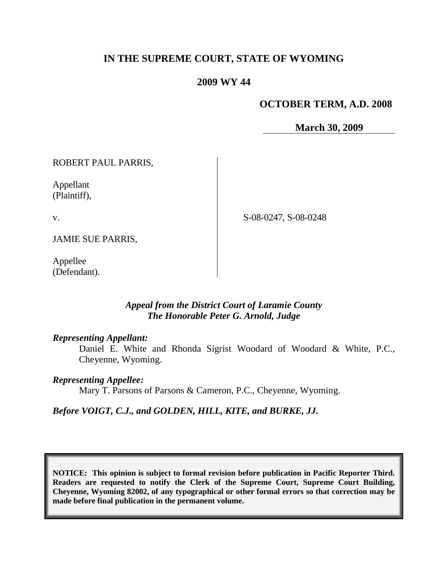# **IN THE SUPREME COURT, STATE OF WYOMING**

## **2009 WY 44**

### **OCTOBER TERM, A.D. 2008**

**March 30, 2009**

ROBERT PAUL PARRIS,

Appellant (Plaintiff),

v.

S-08-0247, S-08-0248

JAMIE SUE PARRIS,

Appellee (Defendant).

### *Appeal from the District Court of Laramie County The Honorable Peter G. Arnold, Judge*

### *Representing Appellant:*

Daniel E. White and Rhonda Sigrist Woodard of Woodard & White, P.C., Cheyenne, Wyoming.

### *Representing Appellee:*

Mary T. Parsons of Parsons & Cameron, P.C., Cheyenne, Wyoming.

*Before VOIGT, C.J., and GOLDEN, HILL, KITE, and BURKE, JJ.*

**NOTICE: This opinion is subject to formal revision before publication in Pacific Reporter Third. Readers are requested to notify the Clerk of the Supreme Court, Supreme Court Building, Cheyenne, Wyoming 82002, of any typographical or other formal errors so that correction may be made before final publication in the permanent volume.**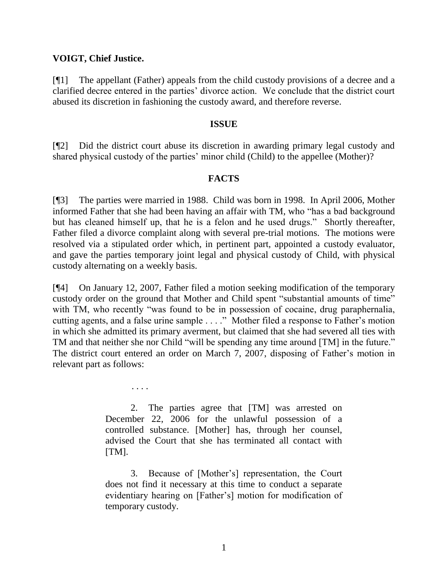### **VOIGT, Chief Justice.**

[¶1] The appellant (Father) appeals from the child custody provisions of a decree and a clarified decree entered in the parties' divorce action. We conclude that the district court abused its discretion in fashioning the custody award, and therefore reverse.

### **ISSUE**

[¶2] Did the district court abuse its discretion in awarding primary legal custody and shared physical custody of the parties' minor child (Child) to the appellee (Mother)?

### **FACTS**

[¶3] The parties were married in 1988. Child was born in 1998. In April 2006, Mother informed Father that she had been having an affair with TM, who "has a bad background but has cleaned himself up, that he is a felon and he used drugs." Shortly thereafter, Father filed a divorce complaint along with several pre-trial motions. The motions were resolved via a stipulated order which, in pertinent part, appointed a custody evaluator, and gave the parties temporary joint legal and physical custody of Child, with physical custody alternating on a weekly basis.

[¶4] On January 12, 2007, Father filed a motion seeking modification of the temporary custody order on the ground that Mother and Child spent "substantial amounts of time" with TM, who recently "was found to be in possession of cocaine, drug paraphernalia, cutting agents, and a false urine sample . . . ." Mother filed a response to Father's motion in which she admitted its primary averment, but claimed that she had severed all ties with TM and that neither she nor Child "will be spending any time around [TM] in the future." The district court entered an order on March 7, 2007, disposing of Father's motion in relevant part as follows:

. . . .

2. The parties agree that [TM] was arrested on December 22, 2006 for the unlawful possession of a controlled substance. [Mother] has, through her counsel, advised the Court that she has terminated all contact with [TM].

3. Because of [Mother's] representation, the Court does not find it necessary at this time to conduct a separate evidentiary hearing on [Father's] motion for modification of temporary custody.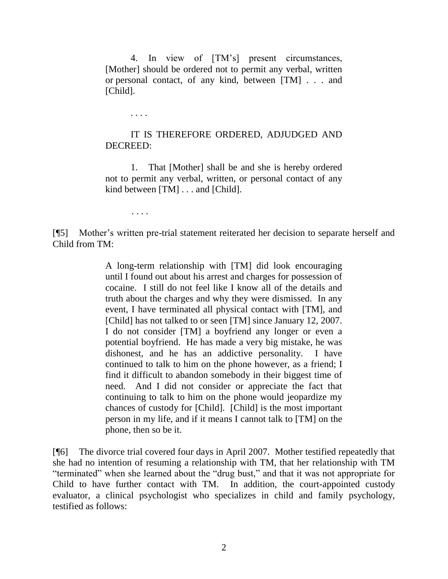4. In view of [TM's] present circumstances, [Mother] should be ordered not to permit any verbal, written or personal contact, of any kind, between [TM] . . . and [Child].

. . . .

## IT IS THEREFORE ORDERED, ADJUDGED AND DECREED:

1. That [Mother] shall be and she is hereby ordered not to permit any verbal, written, or personal contact of any kind between [TM] . . . and [Child].

. . . .

[¶5] Mother's written pre-trial statement reiterated her decision to separate herself and Child from TM:

> A long-term relationship with [TM] did look encouraging until I found out about his arrest and charges for possession of cocaine. I still do not feel like I know all of the details and truth about the charges and why they were dismissed. In any event, I have terminated all physical contact with [TM], and [Child] has not talked to or seen [TM] since January 12, 2007. I do not consider [TM] a boyfriend any longer or even a potential boyfriend. He has made a very big mistake, he was dishonest, and he has an addictive personality. I have continued to talk to him on the phone however, as a friend; I find it difficult to abandon somebody in their biggest time of need. And I did not consider or appreciate the fact that continuing to talk to him on the phone would jeopardize my chances of custody for [Child]. [Child] is the most important person in my life, and if it means I cannot talk to [TM] on the phone, then so be it.

[¶6] The divorce trial covered four days in April 2007. Mother testified repeatedly that she had no intention of resuming a relationship with TM, that her relationship with TM "terminated" when she learned about the "drug bust," and that it was not appropriate for Child to have further contact with TM. In addition, the court-appointed custody evaluator, a clinical psychologist who specializes in child and family psychology, testified as follows: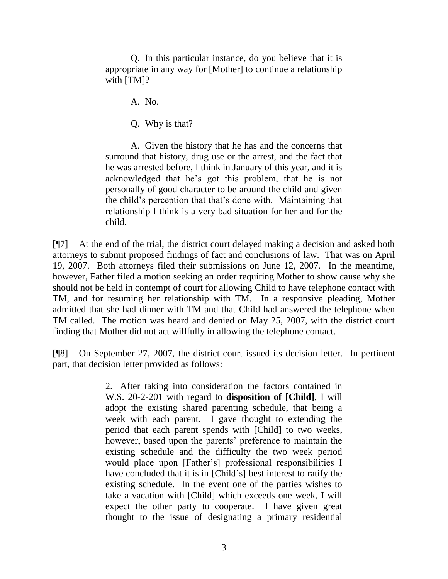Q. In this particular instance, do you believe that it is appropriate in any way for [Mother] to continue a relationship with [TM]?

A. No.

Q. Why is that?

A. Given the history that he has and the concerns that surround that history, drug use or the arrest, and the fact that he was arrested before, I think in January of this year, and it is acknowledged that he's got this problem, that he is not personally of good character to be around the child and given the child's perception that that's done with. Maintaining that relationship I think is a very bad situation for her and for the child.

[¶7] At the end of the trial, the district court delayed making a decision and asked both attorneys to submit proposed findings of fact and conclusions of law. That was on April 19, 2007. Both attorneys filed their submissions on June 12, 2007. In the meantime, however, Father filed a motion seeking an order requiring Mother to show cause why she should not be held in contempt of court for allowing Child to have telephone contact with TM, and for resuming her relationship with TM. In a responsive pleading, Mother admitted that she had dinner with TM and that Child had answered the telephone when TM called. The motion was heard and denied on May 25, 2007, with the district court finding that Mother did not act willfully in allowing the telephone contact.

[¶8] On September 27, 2007, the district court issued its decision letter. In pertinent part, that decision letter provided as follows:

> 2. After taking into consideration the factors contained in W.S. 20-2-201 with regard to **disposition of [Child]**, I will adopt the existing shared parenting schedule, that being a week with each parent. I gave thought to extending the period that each parent spends with [Child] to two weeks, however, based upon the parents' preference to maintain the existing schedule and the difficulty the two week period would place upon [Father's] professional responsibilities I have concluded that it is in [Child's] best interest to ratify the existing schedule. In the event one of the parties wishes to take a vacation with [Child] which exceeds one week, I will expect the other party to cooperate. I have given great thought to the issue of designating a primary residential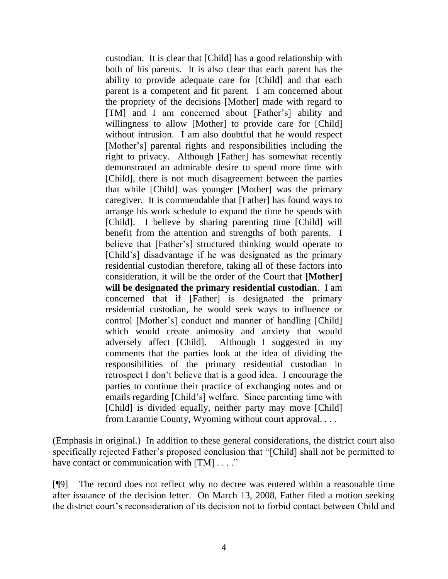custodian. It is clear that [Child] has a good relationship with both of his parents. It is also clear that each parent has the ability to provide adequate care for [Child] and that each parent is a competent and fit parent. I am concerned about the propriety of the decisions [Mother] made with regard to [TM] and I am concerned about [Father's] ability and willingness to allow [Mother] to provide care for [Child] without intrusion. I am also doubtful that he would respect [Mother's] parental rights and responsibilities including the right to privacy. Although [Father] has somewhat recently demonstrated an admirable desire to spend more time with [Child], there is not much disagreement between the parties that while [Child] was younger [Mother] was the primary caregiver. It is commendable that [Father] has found ways to arrange his work schedule to expand the time he spends with [Child]. I believe by sharing parenting time [Child] will benefit from the attention and strengths of both parents. I believe that [Father's] structured thinking would operate to [Child's] disadvantage if he was designated as the primary residential custodian therefore, taking all of these factors into consideration, it will be the order of the Court that **[Mother] will be designated the primary residential custodian**. I am concerned that if [Father] is designated the primary residential custodian, he would seek ways to influence or control [Mother's] conduct and manner of handling [Child] which would create animosity and anxiety that would adversely affect [Child]. Although I suggested in my comments that the parties look at the idea of dividing the responsibilities of the primary residential custodian in retrospect I don't believe that is a good idea. I encourage the parties to continue their practice of exchanging notes and or emails regarding [Child's] welfare. Since parenting time with [Child] is divided equally, neither party may move [Child] from Laramie County, Wyoming without court approval. . . .

(Emphasis in original.) In addition to these general considerations, the district court also specifically rejected Father's proposed conclusion that "[Child] shall not be permitted to have contact or communication with [TM] . . . ."

[¶9] The record does not reflect why no decree was entered within a reasonable time after issuance of the decision letter. On March 13, 2008, Father filed a motion seeking the district court's reconsideration of its decision not to forbid contact between Child and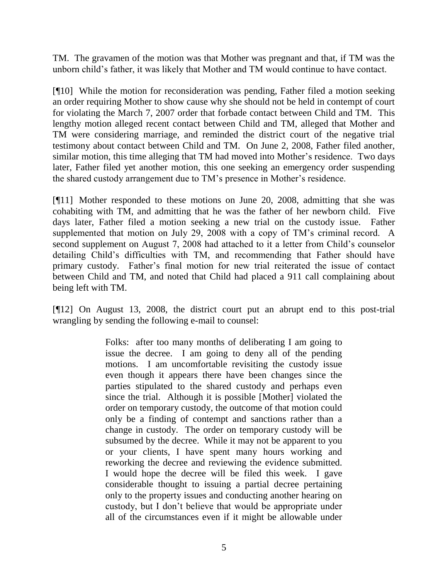TM. The gravamen of the motion was that Mother was pregnant and that, if TM was the unborn child's father, it was likely that Mother and TM would continue to have contact.

[¶10] While the motion for reconsideration was pending, Father filed a motion seeking an order requiring Mother to show cause why she should not be held in contempt of court for violating the March 7, 2007 order that forbade contact between Child and TM. This lengthy motion alleged recent contact between Child and TM, alleged that Mother and TM were considering marriage, and reminded the district court of the negative trial testimony about contact between Child and TM. On June 2, 2008, Father filed another, similar motion, this time alleging that TM had moved into Mother's residence. Two days later, Father filed yet another motion, this one seeking an emergency order suspending the shared custody arrangement due to TM's presence in Mother's residence.

[¶11] Mother responded to these motions on June 20, 2008, admitting that she was cohabiting with TM, and admitting that he was the father of her newborn child. Five days later, Father filed a motion seeking a new trial on the custody issue. Father supplemented that motion on July 29, 2008 with a copy of TM's criminal record. A second supplement on August 7, 2008 had attached to it a letter from Child's counselor detailing Child's difficulties with TM, and recommending that Father should have primary custody. Father's final motion for new trial reiterated the issue of contact between Child and TM, and noted that Child had placed a 911 call complaining about being left with TM.

[¶12] On August 13, 2008, the district court put an abrupt end to this post-trial wrangling by sending the following e-mail to counsel:

> Folks: after too many months of deliberating I am going to issue the decree. I am going to deny all of the pending motions. I am uncomfortable revisiting the custody issue even though it appears there have been changes since the parties stipulated to the shared custody and perhaps even since the trial. Although it is possible [Mother] violated the order on temporary custody, the outcome of that motion could only be a finding of contempt and sanctions rather than a change in custody. The order on temporary custody will be subsumed by the decree. While it may not be apparent to you or your clients, I have spent many hours working and reworking the decree and reviewing the evidence submitted. I would hope the decree will be filed this week. I gave considerable thought to issuing a partial decree pertaining only to the property issues and conducting another hearing on custody, but I don't believe that would be appropriate under all of the circumstances even if it might be allowable under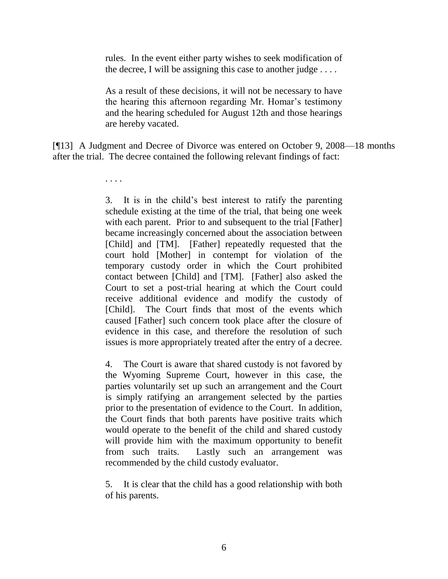rules. In the event either party wishes to seek modification of the decree, I will be assigning this case to another judge  $\dots$ .

As a result of these decisions, it will not be necessary to have the hearing this afternoon regarding Mr. Homar's testimony and the hearing scheduled for August 12th and those hearings are hereby vacated.

[¶13] A Judgment and Decree of Divorce was entered on October 9, 2008—18 months after the trial. The decree contained the following relevant findings of fact:

. . . .

3. It is in the child's best interest to ratify the parenting schedule existing at the time of the trial, that being one week with each parent. Prior to and subsequent to the trial [Father] became increasingly concerned about the association between [Child] and [TM]. [Father] repeatedly requested that the court hold [Mother] in contempt for violation of the temporary custody order in which the Court prohibited contact between [Child] and [TM]. [Father] also asked the Court to set a post-trial hearing at which the Court could receive additional evidence and modify the custody of [Child]. The Court finds that most of the events which caused [Father] such concern took place after the closure of evidence in this case, and therefore the resolution of such issues is more appropriately treated after the entry of a decree.

4. The Court is aware that shared custody is not favored by the Wyoming Supreme Court, however in this case, the parties voluntarily set up such an arrangement and the Court is simply ratifying an arrangement selected by the parties prior to the presentation of evidence to the Court. In addition, the Court finds that both parents have positive traits which would operate to the benefit of the child and shared custody will provide him with the maximum opportunity to benefit from such traits. Lastly such an arrangement was recommended by the child custody evaluator.

5. It is clear that the child has a good relationship with both of his parents.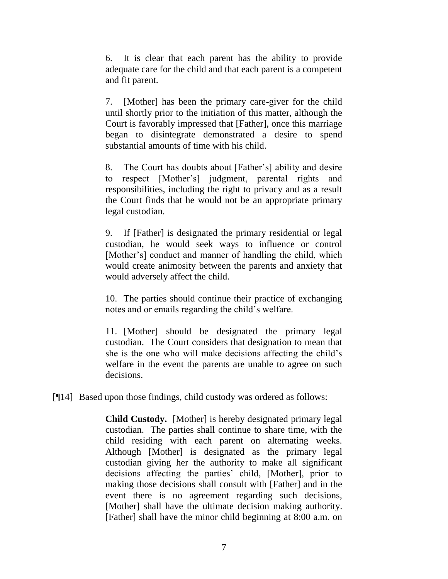6. It is clear that each parent has the ability to provide adequate care for the child and that each parent is a competent and fit parent.

7. [Mother] has been the primary care-giver for the child until shortly prior to the initiation of this matter, although the Court is favorably impressed that [Father], once this marriage began to disintegrate demonstrated a desire to spend substantial amounts of time with his child.

8. The Court has doubts about [Father's] ability and desire to respect [Mother's] judgment, parental rights and responsibilities, including the right to privacy and as a result the Court finds that he would not be an appropriate primary legal custodian.

9. If [Father] is designated the primary residential or legal custodian, he would seek ways to influence or control [Mother's] conduct and manner of handling the child, which would create animosity between the parents and anxiety that would adversely affect the child.

10. The parties should continue their practice of exchanging notes and or emails regarding the child's welfare.

11. [Mother] should be designated the primary legal custodian. The Court considers that designation to mean that she is the one who will make decisions affecting the child's welfare in the event the parents are unable to agree on such decisions.

[¶14] Based upon those findings, child custody was ordered as follows:

**Child Custody.** [Mother] is hereby designated primary legal custodian. The parties shall continue to share time, with the child residing with each parent on alternating weeks. Although [Mother] is designated as the primary legal custodian giving her the authority to make all significant decisions affecting the parties' child, [Mother], prior to making those decisions shall consult with [Father] and in the event there is no agreement regarding such decisions, [Mother] shall have the ultimate decision making authority. [Father] shall have the minor child beginning at 8:00 a.m. on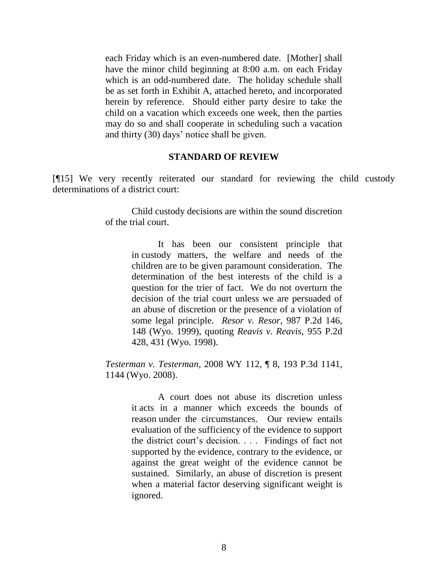each Friday which is an even-numbered date. [Mother] shall have the minor child beginning at 8:00 a.m. on each Friday which is an odd-numbered date. The holiday schedule shall be as set forth in Exhibit A, attached hereto, and incorporated herein by reference. Should either party desire to take the child on a vacation which exceeds one week, then the parties may do so and shall cooperate in scheduling such a vacation and thirty (30) days' notice shall be given.

#### **STANDARD OF REVIEW**

[¶15] We very recently reiterated our standard for reviewing the child custody determinations of a district court:

> Child custody decisions are within the sound discretion of the trial court.

> > It has been our consistent principle that in custody matters, the welfare and needs of the children are to be given paramount consideration. The determination of the best interests of the child is a question for the trier of fact. We do not overturn the decision of the trial court unless we are persuaded of an abuse of discretion or the presence of a violation of some legal principle. *Resor v. Resor*, 987 P.2d 146, 148 (Wyo. 1999), quoting *Reavis v. Reavis*, 955 P.2d 428, 431 (Wyo. 1998).

*Testerman v. Testerman*, 2008 WY 112, ¶ 8, 193 P.3d 1141, 1144 (Wyo. 2008).

> A court does not abuse its discretion unless it acts in a manner which exceeds the bounds of reason under the circumstances. Our review entails evaluation of the sufficiency of the evidence to support the district court's decision. . . . Findings of fact not supported by the evidence, contrary to the evidence, or against the great weight of the evidence cannot be sustained. Similarly, an abuse of discretion is present when a material factor deserving significant weight is ignored.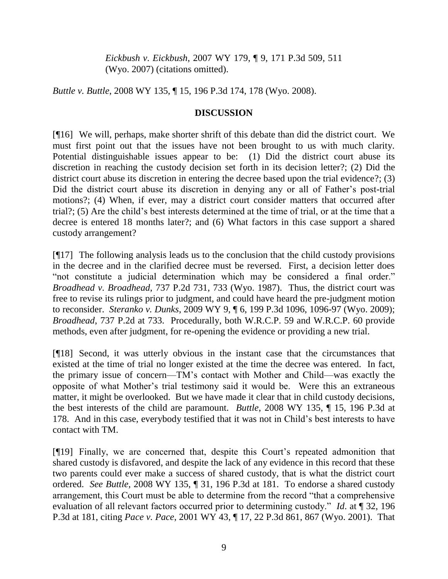*Eickbush v. Eickbush*, 2007 WY 179, ¶ 9, 171 P.3d 509, 511 (Wyo. 2007) (citations omitted).

*Buttle v. Buttle*, 2008 WY 135, ¶ 15, 196 P.3d 174, 178 (Wyo. 2008).

## **DISCUSSION**

[¶16] We will, perhaps, make shorter shrift of this debate than did the district court. We must first point out that the issues have not been brought to us with much clarity. Potential distinguishable issues appear to be: (1) Did the district court abuse its discretion in reaching the custody decision set forth in its decision letter?; (2) Did the district court abuse its discretion in entering the decree based upon the trial evidence?; (3) Did the district court abuse its discretion in denying any or all of Father's post-trial motions?; (4) When, if ever, may a district court consider matters that occurred after trial?; (5) Are the child's best interests determined at the time of trial, or at the time that a decree is entered 18 months later?; and (6) What factors in this case support a shared custody arrangement?

[¶17] The following analysis leads us to the conclusion that the child custody provisions in the decree and in the clarified decree must be reversed. First, a decision letter does "not constitute a judicial determination which may be considered a final order." *Broadhead v. Broadhead*, 737 P.2d 731, 733 (Wyo. 1987). Thus, the district court was free to revise its rulings prior to judgment, and could have heard the pre-judgment motion to reconsider. *Steranko v. Dunks*, 2009 WY 9, ¶ 6, 199 P.3d 1096, 1096-97 (Wyo. 2009); *Broadhead*, 737 P.2d at 733. Procedurally, both W.R.C.P. 59 and W.R.C.P. 60 provide methods, even after judgment, for re-opening the evidence or providing a new trial.

[¶18] Second, it was utterly obvious in the instant case that the circumstances that existed at the time of trial no longer existed at the time the decree was entered. In fact, the primary issue of concern—TM's contact with Mother and Child—was exactly the opposite of what Mother's trial testimony said it would be. Were this an extraneous matter, it might be overlooked. But we have made it clear that in child custody decisions, the best interests of the child are paramount. *Buttle*, 2008 WY 135, ¶ 15, 196 P.3d at 178. And in this case, everybody testified that it was not in Child's best interests to have contact with TM.

[¶19] Finally, we are concerned that, despite this Court's repeated admonition that shared custody is disfavored, and despite the lack of any evidence in this record that these two parents could ever make a success of shared custody, that is what the district court ordered. *See Buttle*, 2008 WY 135, ¶ 31, 196 P.3d at 181. To endorse a shared custody arrangement, this Court must be able to determine from the record "that a comprehensive evaluation of all relevant factors occurred prior to determining custody." *Id*. at ¶ 32, 196 P.3d at 181, citing *Pace v. Pace*, 2001 WY 43, ¶ 17, 22 P.3d 861, 867 (Wyo. 2001). That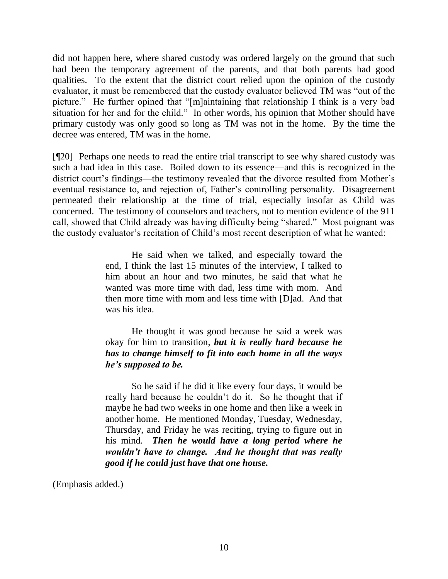did not happen here, where shared custody was ordered largely on the ground that such had been the temporary agreement of the parents, and that both parents had good qualities. To the extent that the district court relied upon the opinion of the custody evaluator, it must be remembered that the custody evaluator believed TM was "out of the picture." He further opined that "[m]aintaining that relationship I think is a very bad situation for her and for the child." In other words, his opinion that Mother should have primary custody was only good so long as TM was not in the home. By the time the decree was entered, TM was in the home.

[¶20] Perhaps one needs to read the entire trial transcript to see why shared custody was such a bad idea in this case. Boiled down to its essence—and this is recognized in the district court's findings—the testimony revealed that the divorce resulted from Mother's eventual resistance to, and rejection of, Father's controlling personality. Disagreement permeated their relationship at the time of trial, especially insofar as Child was concerned. The testimony of counselors and teachers, not to mention evidence of the 911 call, showed that Child already was having difficulty being "shared." Most poignant was the custody evaluator's recitation of Child's most recent description of what he wanted:

> He said when we talked, and especially toward the end, I think the last 15 minutes of the interview, I talked to him about an hour and two minutes, he said that what he wanted was more time with dad, less time with mom. And then more time with mom and less time with [D]ad. And that was his idea.

> He thought it was good because he said a week was okay for him to transition, *but it is really hard because he has to change himself to fit into each home in all the ways he's supposed to be.*

> So he said if he did it like every four days, it would be really hard because he couldn't do it. So he thought that if maybe he had two weeks in one home and then like a week in another home. He mentioned Monday, Tuesday, Wednesday, Thursday, and Friday he was reciting, trying to figure out in his mind. *Then he would have a long period where he wouldn't have to change. And he thought that was really good if he could just have that one house.*

(Emphasis added.)